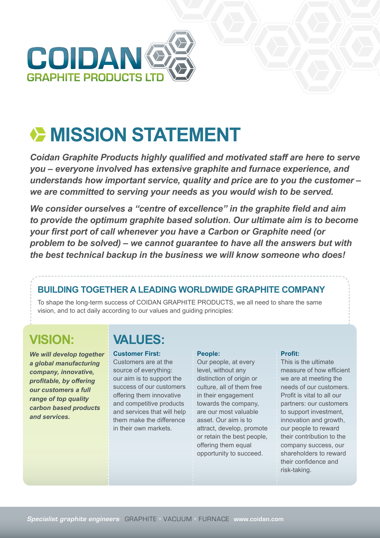

# **EXAMPLE MISSION STATEMENT**

*Coidan Graphite Products highly qualified and motivated staff are here to serve you – everyone involved has extensive graphite and furnace experience, and understands how important service, quality and price are to you the customer – we are committed to serving your needs as you would wish to be served.* 

*We consider ourselves a "centre of excellence" in the graphite field and aim to provide the optimum graphite based solution. Our ultimate aim is to become your first port of call whenever you have a Carbon or Graphite need (or problem to be solved) – we cannot guarantee to have all the answers but with the best technical backup in the business we will know someone who does!*

### **BUILDING TOGETHER A LEADING WORLDWIDE GRAPHITE COMPANY**

To shape the long-term success of COIDAN GRAPHITE PRODUCTS, we all need to share the same vision, and to act daily according to our values and guiding principles:

## **VISION:**

*We will develop together a global manufacturing company, innovative, profitable, by offering our customers a full range of top quality carbon based products and services.*

## **VALUES:**

**Customer First:** Customers are at the source of everything: our aim is to support the success of our customers offering them innovative and competitive products and services that will help them make the difference in their own markets.

#### **People:**

Our people, at every level, without any distinction of origin or culture, all of them free in their engagement towards the company, are our most valuable asset. Our aim is to attract, develop, promote or retain the best people, offering them equal opportunity to succeed.

#### **Profit:**

This is the ultimate measure of how efficient we are at meeting the needs of our customers. Profit is vital to all our partners: our customers to support investment, innovation and growth, our people to reward their contribution to the company success, our shareholders to reward their confidence and risk-taking.